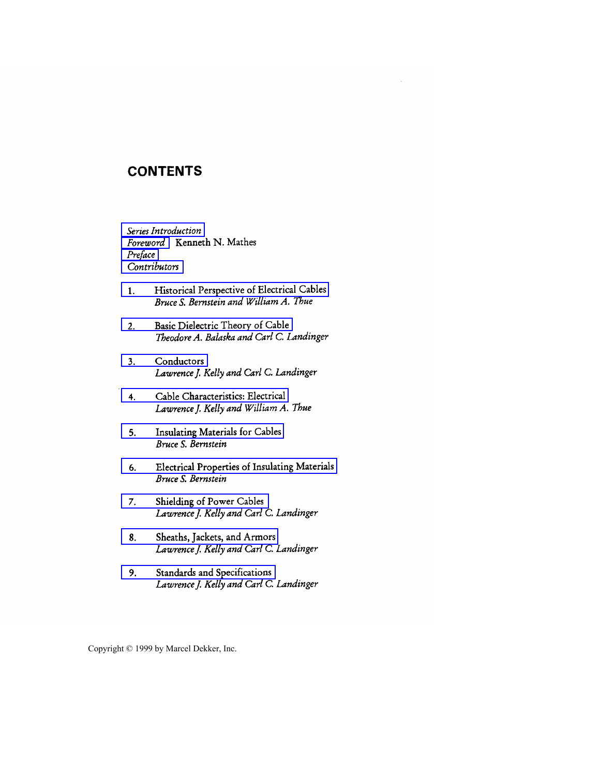## **CONTENTS**

*Series Introduction Foreword* **Kenneth** N. **Mathes**  *Preface Contributors* 

- 1. **Historical Perspective of Electrical Cables**  *Bruce* **S.** *Bemstein and William A. Thue*
- 2. **Basic Dielectric Theory of Cable**  *Theodore A. Bakaska and Carl C. Landinger*
- **3. Conductors**  *Lawrence J. Kelly and Carl C. Landinger*
- **4. Cable Characteristics: Electrical**  *Lawrence]. Kelly and William A. The*
- **5. Insulating Materials for Cables**  *Bruce* **S.** *Bernstein*
- *6.*  **Electrical Properties of Insulating Materials**  *Bruce* **S.** *Bernstein*
- **7. Shielding of Power Cables**  *Lawrence]. Kelly and Carl C. Lmdinger*
- **8. Sheaths, Jackets, and Armors**  *Lawrence]. Kelly and Gzrl C. Landinger*
- *9.*  **Standards and Specifications**  *Lawrence]. Kelly and Carl C. Landinger*